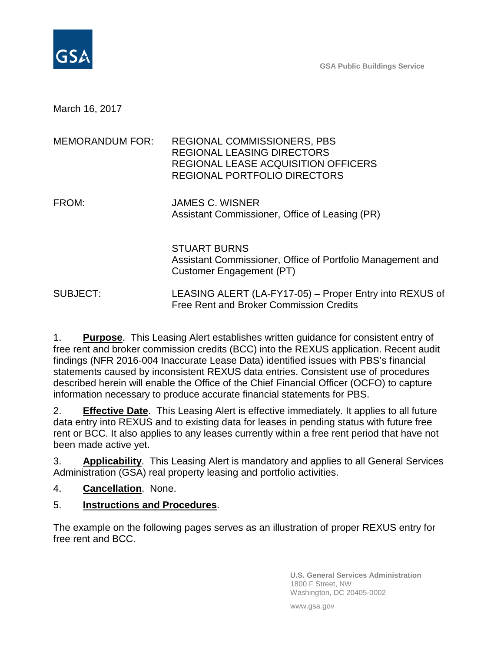

March 16, 2017

| MEMORANDUM FOR: | REGIONAL COMMISSIONERS, PBS<br><b>REGIONAL LEASING DIRECTORS</b><br>REGIONAL LEASE ACQUISITION OFFICERS<br>REGIONAL PORTFOLIO DIRECTORS |
|-----------------|-----------------------------------------------------------------------------------------------------------------------------------------|
| FROM:           | <b>JAMES C. WISNER</b><br>Assistant Commissioner, Office of Leasing (PR)                                                                |
|                 | <b>STUART BURNS</b><br>Assistant Commissioner, Office of Portfolio Management and<br>Customer Engagement (PT)                           |

SUBJECT: LEASING ALERT (LA-FY17-05) – Proper Entry into REXUS of Free Rent and Broker Commission Credits

1. **Purpose**. This Leasing Alert establishes written guidance for consistent entry of free rent and broker commission credits (BCC) into the REXUS application. Recent audit findings (NFR 2016-004 Inaccurate Lease Data) identified issues with PBS's financial statements caused by inconsistent REXUS data entries. Consistent use of procedures described herein will enable the Office of the Chief Financial Officer (OCFO) to capture information necessary to produce accurate financial statements for PBS.

2. **Effective Date**. This Leasing Alert is effective immediately. It applies to all future data entry into REXUS and to existing data for leases in pending status with future free rent or BCC. It also applies to any leases currently within a free rent period that have not been made active yet.

3. **Applicability**. This Leasing Alert is mandatory and applies to all General Services Administration (GSA) real property leasing and portfolio activities.

4. **Cancellation**. None.

# 5. **Instructions and Procedures**.

The example on the following pages serves as an illustration of proper REXUS entry for free rent and BCC.

> **U.S. General Services Administration** 1800 F Street, NW Washington, DC 20405-0002

www.gsa.gov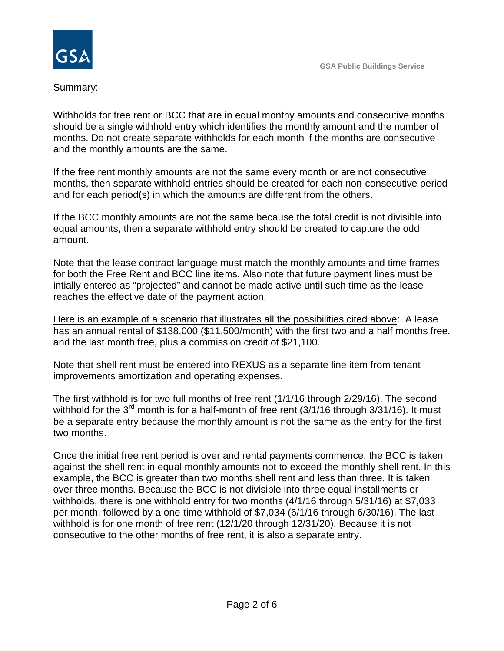

Summary:

Withholds for free rent or BCC that are in equal monthy amounts and consecutive months should be a single withhold entry which identifies the monthly amount and the number of months. Do not create separate withholds for each month if the months are consecutive and the monthly amounts are the same.

If the free rent monthly amounts are not the same every month or are not consecutive months, then separate withhold entries should be created for each non-consecutive period and for each period(s) in which the amounts are different from the others.

If the BCC monthly amounts are not the same because the total credit is not divisible into equal amounts, then a separate withhold entry should be created to capture the odd amount.

Note that the lease contract language must match the monthly amounts and time frames for both the Free Rent and BCC line items. Also note that future payment lines must be intially entered as "projected" and cannot be made active until such time as the lease reaches the effective date of the payment action.

Here is an example of a scenario that illustrates all the possibilities cited above: A lease has an annual rental of \$138,000 (\$11,500/month) with the first two and a half months free, and the last month free, plus a commission credit of \$21,100.

Note that shell rent must be entered into REXUS as a separate line item from tenant improvements amortization and operating expenses.

The first withhold is for two full months of free rent (1/1/16 through 2/29/16). The second withhold for the  $3^{rd}$  month is for a half-month of free rent (3/1/16 through 3/31/16). It must be a separate entry because the monthly amount is not the same as the entry for the first two months.

Once the initial free rent period is over and rental payments commence, the BCC is taken against the shell rent in equal monthly amounts not to exceed the monthly shell rent. In this example, the BCC is greater than two months shell rent and less than three. It is taken over three months. Because the BCC is not divisible into three equal installments or withholds, there is one withhold entry for two months (4/1/16 through 5/31/16) at \$7,033 per month, followed by a one-time withhold of \$7,034 (6/1/16 through 6/30/16). The last withhold is for one month of free rent (12/1/20 through 12/31/20). Because it is not consecutive to the other months of free rent, it is also a separate entry.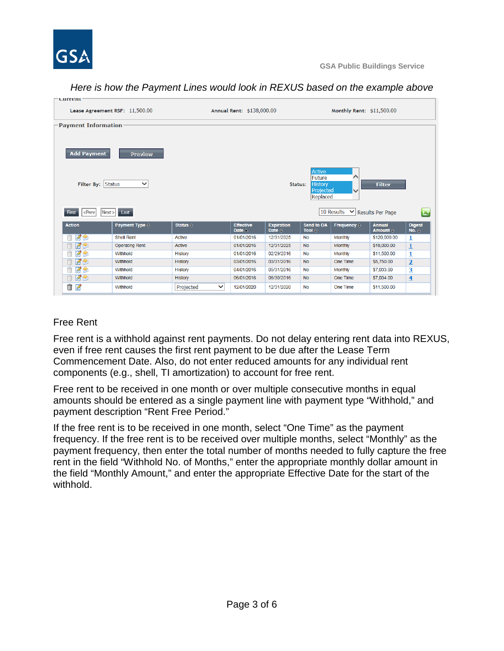

*Here is how the Payment Lines would look in REXUS based on the example above*

| current                                                                                                                                | Lease Agreement RSF: 11,500.00 |                          | Annual Rent: \$138,000.00            |                                    |                      | Monthly Rent: \$11,500.00     |                                           |                                        |
|----------------------------------------------------------------------------------------------------------------------------------------|--------------------------------|--------------------------|--------------------------------------|------------------------------------|----------------------|-------------------------------|-------------------------------------------|----------------------------------------|
| <b>Payment Information</b>                                                                                                             |                                |                          |                                      |                                    |                      |                               |                                           |                                        |
| <b>Add Payment</b><br>Preview                                                                                                          |                                |                          |                                      |                                    |                      |                               |                                           |                                        |
| Active<br>Future<br>⌒<br>Filter By: Status<br><b>History</b><br>$\checkmark$<br>Status:<br><b>Filter</b><br>Projected<br>╰<br>Replaced |                                |                          |                                      |                                    |                      |                               |                                           |                                        |
|                                                                                                                                        |                                |                          |                                      |                                    |                      |                               |                                           |                                        |
| $\le$ Prev<br><b>First</b>                                                                                                             | $Next > $ Last                 |                          |                                      |                                    |                      | 10 Results V Results Per Page |                                           | E.                                     |
| <b>Action</b>                                                                                                                          | Payment Type $\Leftrightarrow$ | Status $\Leftrightarrow$ | <b>Effective</b><br>Date $\triangle$ | <b>Expiration</b><br>Date $\oplus$ | Send to OA<br>Tool e | Frequency $\Leftrightarrow$   | <b>Annual</b><br>Amount $\Leftrightarrow$ | <b>Digest</b><br>No. $\Leftrightarrow$ |
| <b>RA</b><br>Ħ                                                                                                                         | <b>Shell Rent</b>              | <b>Active</b>            | 01/01/2016                           | 12/31/2025                         | <b>No</b>            | <b>Monthly</b>                | \$120,000.00                              | 1                                      |
| <b>RS</b>                                                                                                                              | <b>Operating Rent</b>          | Active                   | 01/01/2016                           | 12/31/2025                         | <b>No</b>            | <b>Monthly</b>                | \$18,000.00                               | $\overline{1}$                         |
| <b>ZO</b>                                                                                                                              | Withhold                       | History                  | 01/01/2016                           | 02/29/2016                         | <b>No</b>            | Monthly                       | \$11,500.00                               | 1                                      |
| 73                                                                                                                                     | Withhold                       | History                  | 03/01/2016                           | 03/31/2016                         | <b>No</b>            | One Time                      | \$5,750.00                                | $\overline{2}$                         |
| <b>BS</b><br>Ĥ                                                                                                                         | Withhold                       | History                  | 04/01/2016                           | 05/31/2016                         | <b>No</b>            | Monthly                       | \$7,033.00                                | <u>3</u>                               |
| <b>B</b> S<br>Ĥ                                                                                                                        | Withhold                       | History                  | 06/01/2016                           | 06/30/2016                         | <b>No</b>            | One Time                      | \$7,034.00                                | $\overline{4}$                         |

# Free Rent

Free rent is a withhold against rent payments. Do not delay entering rent data into REXUS, even if free rent causes the first rent payment to be due after the Lease Term Commencement Date. Also, do not enter reduced amounts for any individual rent components (e.g., shell, TI amortization) to account for free rent.

Free rent to be received in one month or over multiple consecutive months in equal amounts should be entered as a single payment line with payment type "Withhold," and payment description "Rent Free Period."

If the free rent is to be received in one month, select "One Time" as the payment frequency. If the free rent is to be received over multiple months, select "Monthly" as the payment frequency, then enter the total number of months needed to fully capture the free rent in the field "Withhold No. of Months," enter the appropriate monthly dollar amount in the field "Monthly Amount," and enter the appropriate Effective Date for the start of the withhold.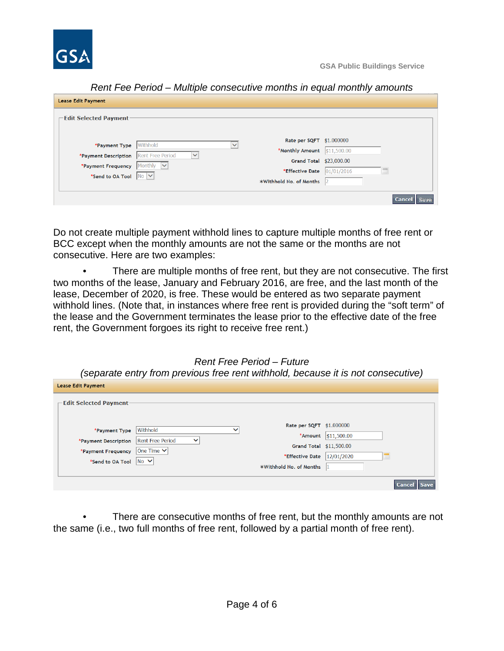

| <b>Lease Edit Payment</b>     |                                         |                          |             |               |
|-------------------------------|-----------------------------------------|--------------------------|-------------|---------------|
| <b>⊢Edit Selected Payment</b> |                                         |                          |             |               |
|                               |                                         |                          |             |               |
| *Payment Type                 | Withhold                                | Rate per SQFT \$1.000000 |             |               |
|                               |                                         | *Monthly Amount          | \$11,500.00 |               |
| *Payment Description          | <b>Rent Free Period</b><br>$\checkmark$ | Grand Total \$23,000.00  |             |               |
| *Payment Frequency            | Monthly<br>$\overline{\mathsf{v}}$      |                          |             |               |
| *Send to OA Tool No V         |                                         | *Effective Date          | 01/01/2016  |               |
|                               |                                         | *Withhold No. of Months  |             |               |
|                               |                                         |                          |             |               |
|                               |                                         |                          |             | <b>Cancel</b> |

Do not create multiple payment withhold lines to capture multiple months of free rent or BCC except when the monthly amounts are not the same or the months are not consecutive. Here are two examples:

There are multiple months of free rent, but they are not consecutive. The first two months of the lease, January and February 2016, are free, and the last month of the lease, December of 2020, is free. These would be entered as two separate payment withhold lines. (Note that, in instances where free rent is provided during the "soft term" of the lease and the Government terminates the lease prior to the effective date of the free rent, the Government forgoes its right to receive free rent.)

*(separate entry from previous free rent withhold, because it is not consecutive)*

| <b>Lease Edit Payment</b>     |                                         |              |                          |                           |                             |
|-------------------------------|-----------------------------------------|--------------|--------------------------|---------------------------|-----------------------------|
| <b>Edit Selected Payment-</b> |                                         |              |                          |                           |                             |
|                               | Withhold                                | $\checkmark$ | Rate per SQFT \$1.000000 |                           |                             |
| *Payment Type                 |                                         |              | *Amount                  | $\frac{1}{1}$ \$11,500.00 |                             |
| *Payment Description          | <b>Rent Free Period</b><br>$\checkmark$ |              | Grand Total \$11,500.00  |                           |                             |
| *Payment Frequency            | $ One Time \vee $                       |              | *Effective Date          |                           |                             |
| *Send to OA Tool              | $ No \vee$                              |              |                          | 12/01/2020                |                             |
|                               |                                         |              | *Withhold No. of Months  |                           |                             |
|                               |                                         |              |                          |                           |                             |
|                               |                                         |              |                          |                           | <b>Save</b><br><b>Cance</b> |

There are consecutive months of free rent, but the monthly amounts are not the same (i.e., two full months of free rent, followed by a partial month of free rent).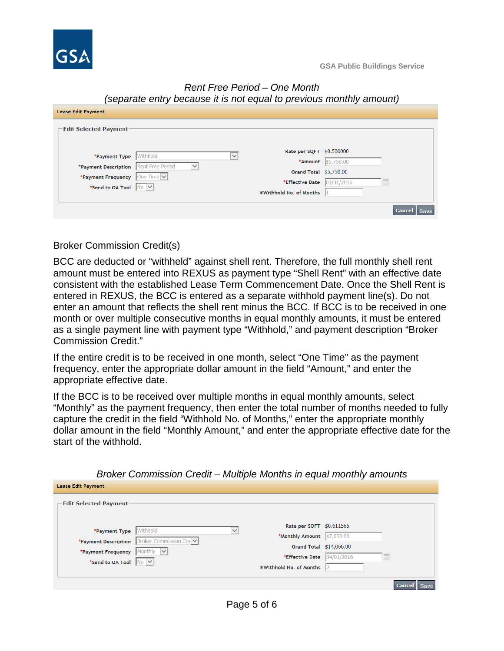

### *Rent Free Period – One Month (separate entry because it is not equal to previous monthly amount)*

| <b>Lease Edit Payment</b>                |              |              |                         |                     |                       |
|------------------------------------------|--------------|--------------|-------------------------|---------------------|-----------------------|
| -Edit Selected Payment-                  |              |              |                         |                     |                       |
| *Payment Type                            | Withhold     | $\checkmark$ | Rate per SQFT           | \$0.500000          |                       |
|                                          |              |              |                         | *Amount $$5,750.00$ |                       |
| *Payment Description Rent Free Period    | $\checkmark$ |              | Grand Total \$5,750.00  |                     |                       |
| *Payment Frequency   One Time $  \vee  $ |              |              |                         |                     |                       |
| *Send to OA Tool $\sqrt{N_0 \vee}$       |              |              | *Effective Date         | 03/01/2016          |                       |
|                                          |              |              | *Withhold No. of Months |                     |                       |
|                                          |              |              |                         |                     |                       |
|                                          |              |              |                         |                     | <b>Cancel</b><br>Save |

Broker Commission Credit(s)

BCC are deducted or "withheld" against shell rent. Therefore, the full monthly shell rent amount must be entered into REXUS as payment type "Shell Rent" with an effective date consistent with the established Lease Term Commencement Date. Once the Shell Rent is entered in REXUS, the BCC is entered as a separate withhold payment line(s). Do not enter an amount that reflects the shell rent minus the BCC. If BCC is to be received in one month or over multiple consecutive months in equal monthly amounts, it must be entered as a single payment line with payment type "Withhold," and payment description "Broker Commission Credit."

If the entire credit is to be received in one month, select "One Time" as the payment frequency, enter the appropriate dollar amount in the field "Amount," and enter the appropriate effective date.

If the BCC is to be received over multiple months in equal monthly amounts, select "Monthly" as the payment frequency, then enter the total number of months needed to fully capture the credit in the field "Withhold No. of Months," enter the appropriate monthly dollar amount in the field "Monthly Amount," and enter the appropriate effective date for the start of the withhold.

| <b>Lease Edit Payment</b>          |                        |                          |            |               |
|------------------------------------|------------------------|--------------------------|------------|---------------|
| $\sqsubset$ Edit Selected Payment- |                        |                          |            |               |
|                                    |                        |                          |            |               |
|                                    | Withhold               | Rate per SQFT \$0.611565 |            |               |
| *Payment Type                      |                        | *Monthly Amount          | \$7,033.00 |               |
| *Payment Description               | Broker Commission Cre  | Grand Total \$14,066.00  |            |               |
| *Payment Frequency                 | Monthly<br>$\breve{ }$ |                          |            |               |
| *Send to OA Tool                   | N <sub>0</sub>         | *Effective Date          | 04/01/2016 |               |
|                                    |                        | *Withhold No. of Months  |            |               |
|                                    |                        |                          |            |               |
|                                    |                        |                          |            | <b>Cancel</b> |

*Broker Commission Credit – Multiple Months in equal monthly amounts*